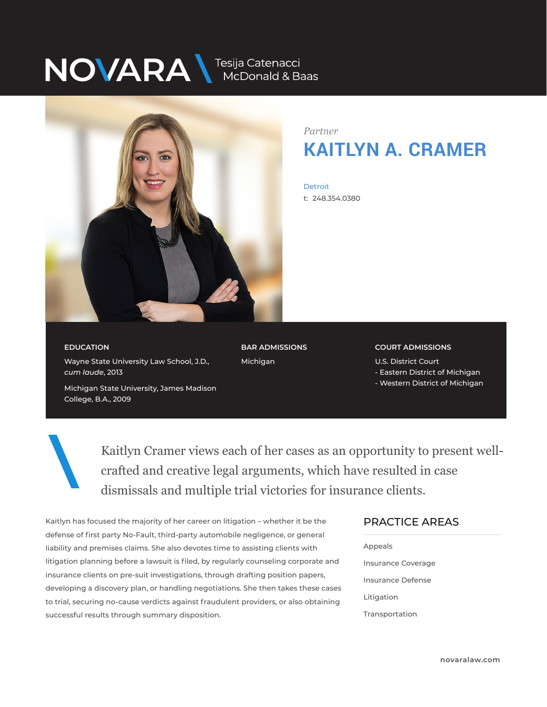## NOVARA MEDONALA Baas



*Partner* **KAITLYN A. CRAMER**

**Detroit** t: 248.354.0380

**EDUCATION** Wayne State University Law School, J.D.,

Michigan State University, James Madison

*cum laude*, 2013

College, B.A., 2009

**BAR ADMISSIONS** Michigan

**COURT ADMISSIONS** U.S. District Court

- Eastern District of Michigan
- Western District of Michigan

Kaitlyn Cramer views each of her cases as an opportunity to present wellcrafted and creative legal arguments, which have resulted in case dismissals and multiple trial victories for insurance clients.

Kaitlyn has focused the majority of her career on litigation – whether it be the defense of first party No-Fault, third-party automobile negligence, or general liability and premises claims. She also devotes time to assisting clients with litigation planning before a lawsuit is filed, by regularly counseling corporate and insurance clients on pre-suit investigations, through drafting position papers, developing a discovery plan, or handling negotiations. She then takes these cases to trial, securing no-cause verdicts against fraudulent providers, or also obtaining successful results through summary disposition.

### PRACTICE AREAS

| Appeals            |
|--------------------|
| Insurance Coverage |
| Insurance Defense  |
| Litigation         |
| Transportation     |
|                    |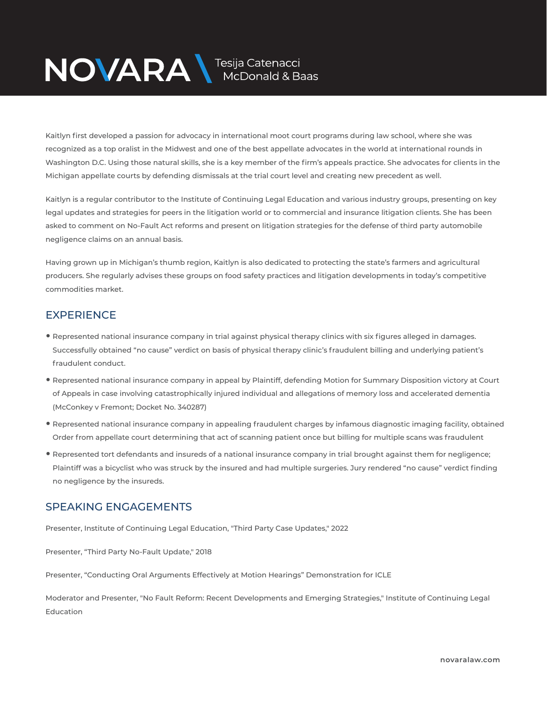# NOVARA MEDOnald & Baas

Kaitlyn first developed a passion for advocacy in international moot court programs during law school, where she was recognized as a top oralist in the Midwest and one of the best appellate advocates in the world at international rounds in Washington D.C. Using those natural skills, she is a key member of the firm's appeals practice. She advocates for clients in the Michigan appellate courts by defending dismissals at the trial court level and creating new precedent as well.

Kaitlyn is a regular contributor to the Institute of Continuing Legal Education and various industry groups, presenting on key legal updates and strategies for peers in the litigation world or to commercial and insurance litigation clients. She has been asked to comment on No-Fault Act reforms and present on litigation strategies for the defense of third party automobile negligence claims on an annual basis.

Having grown up in Michigan's thumb region, Kaitlyn is also dedicated to protecting the state's farmers and agricultural producers. She regularly advises these groups on food safety practices and litigation developments in today's competitive commodities market.

### **EXPERIENCE**

- Represented national insurance company in trial against physical therapy clinics with six figures alleged in damages. Successfully obtained "no cause" verdict on basis of physical therapy clinic's fraudulent billing and underlying patient's fraudulent conduct.
- Represented national insurance company in appeal by Plaintiff, defending Motion for Summary Disposition victory at Court of Appeals in case involving catastrophically injured individual and allegations of memory loss and accelerated dementia (McConkey v Fremont; Docket No. 340287)
- Represented national insurance company in appealing fraudulent charges by infamous diagnostic imaging facility, obtained Order from appellate court determining that act of scanning patient once but billing for multiple scans was fraudulent
- Represented tort defendants and insureds of a national insurance company in trial brought against them for negligence; Plaintiff was a bicyclist who was struck by the insured and had multiple surgeries. Jury rendered "no cause" verdict finding no negligence by the insureds.

#### SPEAKING ENGAGEMENTS

Presenter, Institute of Continuing Legal Education, "Third Party Case Updates," 2022

Presenter, "Third Party No-Fault Update," 2018

Presenter, "Conducting Oral Arguments Effectively at Motion Hearings" Demonstration for ICLE

Moderator and Presenter, "No Fault Reform: Recent Developments and Emerging Strategies," Institute of Continuing Legal Education